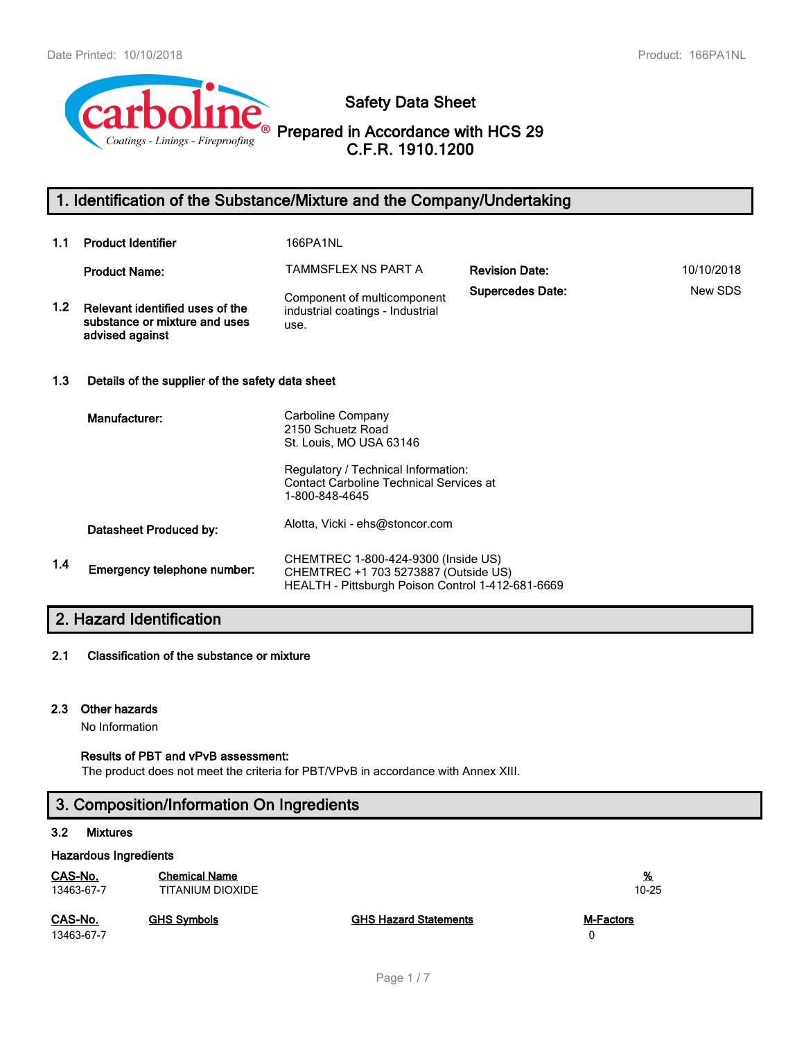

# **Safety Data Sheet**

# **Prepared in Accordance with HCS 29 C.F.R. 1910.1200**

# **1. Identification of the Substance/Mixture and the Company/Undertaking**

| 1.1              | <b>Product Identifier</b>                                                           | <b>166PA1NL</b>                                                                                                                                                              |                         |            |
|------------------|-------------------------------------------------------------------------------------|------------------------------------------------------------------------------------------------------------------------------------------------------------------------------|-------------------------|------------|
|                  | <b>Product Name:</b>                                                                | TAMMSFLEX NS PART A                                                                                                                                                          | <b>Revision Date:</b>   | 10/10/2018 |
| 1.2 <sub>2</sub> | Relevant identified uses of the<br>substance or mixture and uses<br>advised against | Component of multicomponent<br>industrial coatings - Industrial<br>use.                                                                                                      | <b>Supercedes Date:</b> | New SDS    |
| 1.3              | Details of the supplier of the safety data sheet                                    |                                                                                                                                                                              |                         |            |
|                  | Manufacturer:                                                                       | Carboline Company<br>2150 Schuetz Road<br>St. Louis, MO USA 63146<br>Regulatory / Technical Information:<br><b>Contact Carboline Technical Services at</b><br>1-800-848-4645 |                         |            |
|                  | Datasheet Produced by:                                                              | Alotta, Vicki - ehs@stoncor.com                                                                                                                                              |                         |            |
| 1.4              | Emergency telephone number:                                                         | CHEMTREC 1-800-424-9300 (Inside US)<br>CHEMTREC +1 703 5273887 (Outside US)<br>HEALTH - Pittsburgh Poison Control 1-412-681-6669                                             |                         |            |

# **2. Hazard Identification**

### **2.1 Classification of the substance or mixture**

### **2.3 Other hazards**

No Information

### **Results of PBT and vPvB assessment:**

The product does not meet the criteria for PBT/VPvB in accordance with Annex XIII.

# **3. Composition/Information On Ingredients**

### **3.2 Mixtures**

### **Hazardous Ingredients**

| CAS-No.               | <b>Chemical Name</b> |                              | <u>%</u>         |
|-----------------------|----------------------|------------------------------|------------------|
| 13463-67-7            | TITANIUM DIOXIDE     |                              | $10 - 25$        |
| CAS-No.<br>13463-67-7 | <b>GHS Symbols</b>   | <b>GHS Hazard Statements</b> | <b>M-Factors</b> |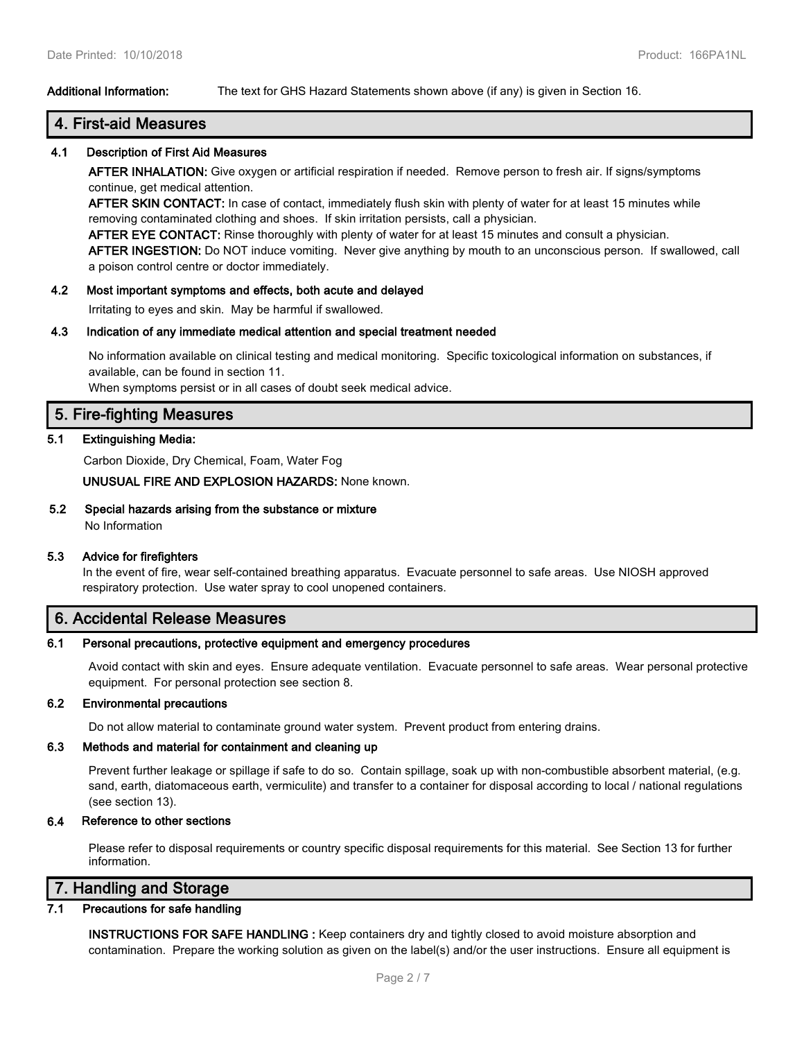### **Additional Information:** The text for GHS Hazard Statements shown above (if any) is given in Section 16.

# **4. First-aid Measures**

### **4.1 Description of First Aid Measures**

**AFTER INHALATION:** Give oxygen or artificial respiration if needed. Remove person to fresh air. If signs/symptoms continue, get medical attention.

**AFTER SKIN CONTACT:** In case of contact, immediately flush skin with plenty of water for at least 15 minutes while removing contaminated clothing and shoes. If skin irritation persists, call a physician.

**AFTER EYE CONTACT:** Rinse thoroughly with plenty of water for at least 15 minutes and consult a physician. **AFTER INGESTION:** Do NOT induce vomiting. Never give anything by mouth to an unconscious person. If swallowed, call a poison control centre or doctor immediately.

### **4.2 Most important symptoms and effects, both acute and delayed**

Irritating to eyes and skin. May be harmful if swallowed.

### **4.3 Indication of any immediate medical attention and special treatment needed**

No information available on clinical testing and medical monitoring. Specific toxicological information on substances, if available, can be found in section 11.

When symptoms persist or in all cases of doubt seek medical advice.

## **5. Fire-fighting Measures**

### **5.1 Extinguishing Media:**

Carbon Dioxide, Dry Chemical, Foam, Water Fog

**UNUSUAL FIRE AND EXPLOSION HAZARDS:** None known.

**5.2 Special hazards arising from the substance or mixture**

No Information

### **5.3 Advice for firefighters**

In the event of fire, wear self-contained breathing apparatus. Evacuate personnel to safe areas. Use NIOSH approved respiratory protection. Use water spray to cool unopened containers.

### **6. Accidental Release Measures**

### **6.1 Personal precautions, protective equipment and emergency procedures**

Avoid contact with skin and eyes. Ensure adequate ventilation. Evacuate personnel to safe areas. Wear personal protective equipment. For personal protection see section 8.

### **6.2 Environmental precautions**

Do not allow material to contaminate ground water system. Prevent product from entering drains.

### **6.3 Methods and material for containment and cleaning up**

Prevent further leakage or spillage if safe to do so. Contain spillage, soak up with non-combustible absorbent material, (e.g. sand, earth, diatomaceous earth, vermiculite) and transfer to a container for disposal according to local / national regulations (see section 13).

### **6.4 Reference to other sections**

Please refer to disposal requirements or country specific disposal requirements for this material. See Section 13 for further information.

# **7. Handling and Storage**

### **7.1 Precautions for safe handling**

**INSTRUCTIONS FOR SAFE HANDLING :** Keep containers dry and tightly closed to avoid moisture absorption and contamination. Prepare the working solution as given on the label(s) and/or the user instructions. Ensure all equipment is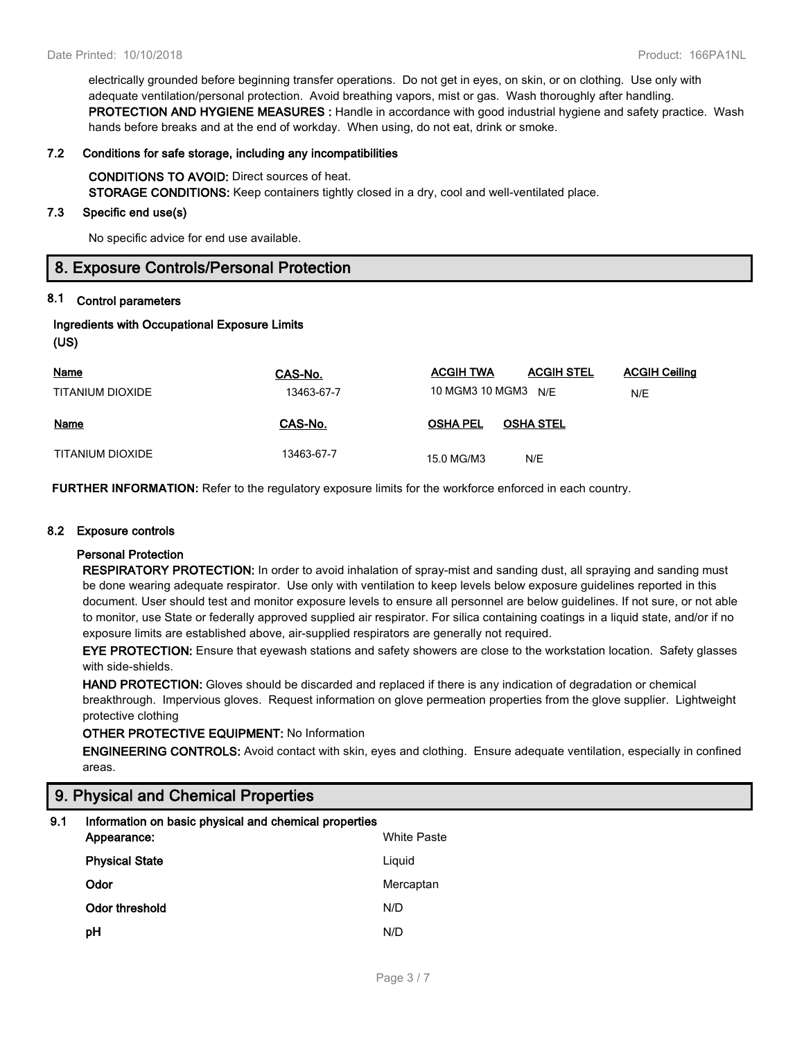electrically grounded before beginning transfer operations. Do not get in eyes, on skin, or on clothing. Use only with adequate ventilation/personal protection. Avoid breathing vapors, mist or gas. Wash thoroughly after handling. **PROTECTION AND HYGIENE MEASURES :** Handle in accordance with good industrial hygiene and safety practice. Wash hands before breaks and at the end of workday. When using, do not eat, drink or smoke.

#### **7.2 Conditions for safe storage, including any incompatibilities**

**CONDITIONS TO AVOID:** Direct sources of heat. **STORAGE CONDITIONS:** Keep containers tightly closed in a dry, cool and well-ventilated place.

#### **7.3 Specific end use(s)**

No specific advice for end use available.

### **8. Exposure Controls/Personal Protection**

### **8.1 Control parameters**

| <b>Ingredients with Occupational Exposure Limits</b> |  |  |
|------------------------------------------------------|--|--|
| (US)                                                 |  |  |

| <b>Name</b>      | CAS-No.    | <b>ACGIH TWA</b>    | <b>ACGIH STEL</b> | <b>ACGIH Ceiling</b> |
|------------------|------------|---------------------|-------------------|----------------------|
| TITANIUM DIOXIDE | 13463-67-7 | 10 MGM3 10 MGM3 N/F |                   | N/E                  |
| <b>Name</b>      | CAS-No.    | <b>OSHA PEL</b>     | <b>OSHA STEL</b>  |                      |
| TITANIUM DIOXIDE | 13463-67-7 | 15.0 MG/M3          | N/E               |                      |

**FURTHER INFORMATION:** Refer to the regulatory exposure limits for the workforce enforced in each country.

#### **8.2 Exposure controls**

### **Personal Protection**

**RESPIRATORY PROTECTION:** In order to avoid inhalation of spray-mist and sanding dust, all spraying and sanding must be done wearing adequate respirator. Use only with ventilation to keep levels below exposure guidelines reported in this document. User should test and monitor exposure levels to ensure all personnel are below guidelines. If not sure, or not able to monitor, use State or federally approved supplied air respirator. For silica containing coatings in a liquid state, and/or if no exposure limits are established above, air-supplied respirators are generally not required.

**EYE PROTECTION:** Ensure that eyewash stations and safety showers are close to the workstation location. Safety glasses with side-shields.

**HAND PROTECTION:** Gloves should be discarded and replaced if there is any indication of degradation or chemical breakthrough. Impervious gloves. Request information on glove permeation properties from the glove supplier. Lightweight protective clothing

### **OTHER PROTECTIVE EQUIPMENT:** No Information

**ENGINEERING CONTROLS:** Avoid contact with skin, eyes and clothing. Ensure adequate ventilation, especially in confined areas.

### **9. Physical and Chemical Properties**

| 9.1 | Information on basic physical and chemical properties<br>Appearance: | <b>White Paste</b> |
|-----|----------------------------------------------------------------------|--------------------|
|     | <b>Physical State</b>                                                | Liguid             |
|     | Odor                                                                 | Mercaptan          |
|     | Odor threshold                                                       | N/D                |
|     | рH                                                                   | N/D                |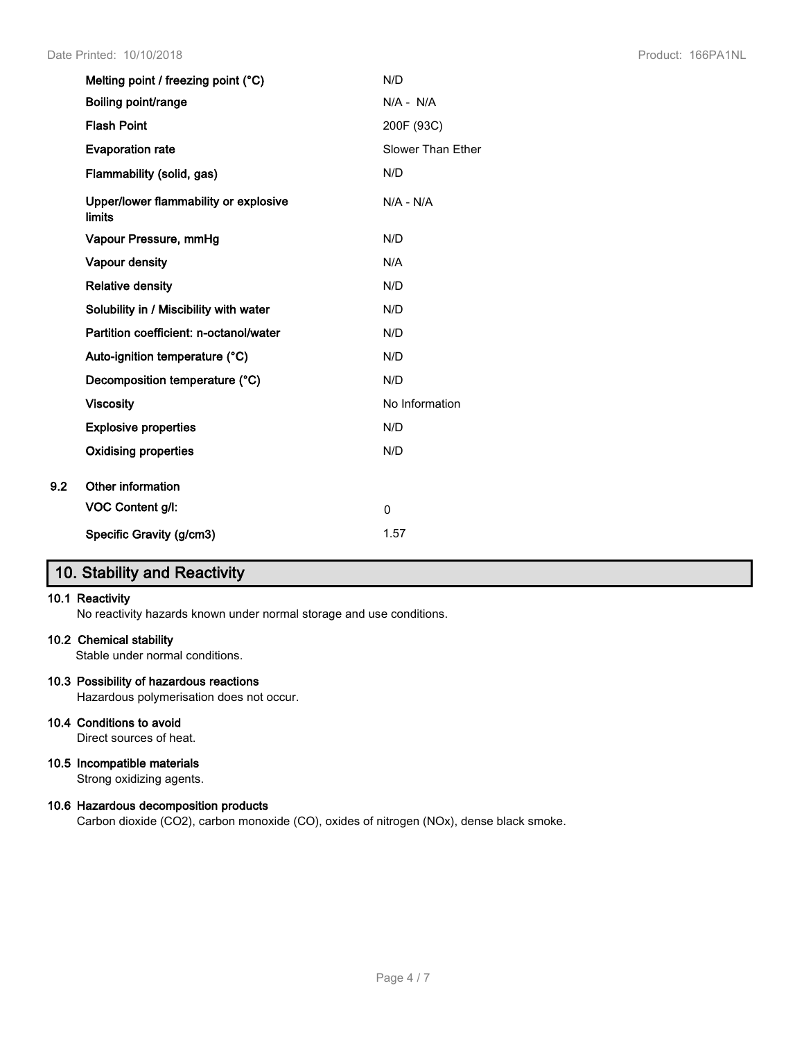|     | Melting point / freezing point (°C)                    | N/D               |
|-----|--------------------------------------------------------|-------------------|
|     | Boiling point/range                                    | $N/A - N/A$       |
|     | <b>Flash Point</b>                                     | 200F (93C)        |
|     | <b>Evaporation rate</b>                                | Slower Than Ether |
|     | Flammability (solid, gas)                              | N/D               |
|     | Upper/lower flammability or explosive<br><b>limits</b> | $N/A - N/A$       |
|     | Vapour Pressure, mmHg                                  | N/D               |
|     | Vapour density                                         | N/A               |
|     | <b>Relative density</b>                                | N/D               |
|     | Solubility in / Miscibility with water                 | N/D               |
|     | Partition coefficient: n-octanol/water                 | N/D               |
|     | Auto-ignition temperature (°C)                         | N/D               |
|     | Decomposition temperature (°C)                         | N/D               |
|     | <b>Viscosity</b>                                       | No Information    |
|     | <b>Explosive properties</b>                            | N/D               |
|     | <b>Oxidising properties</b>                            | N/D               |
| 9.2 | Other information                                      |                   |
|     | VOC Content g/l:                                       | 0                 |
|     | Specific Gravity (g/cm3)                               | 1.57              |

# **10. Stability and Reactivity**

### **10.1 Reactivity**

No reactivity hazards known under normal storage and use conditions.

### **10.2 Chemical stability**

Stable under normal conditions.

### **10.3 Possibility of hazardous reactions**

Hazardous polymerisation does not occur.

### **10.4 Conditions to avoid**

Direct sources of heat.

### **10.5 Incompatible materials**

Strong oxidizing agents.

### **10.6 Hazardous decomposition products**

Carbon dioxide (CO2), carbon monoxide (CO), oxides of nitrogen (NOx), dense black smoke.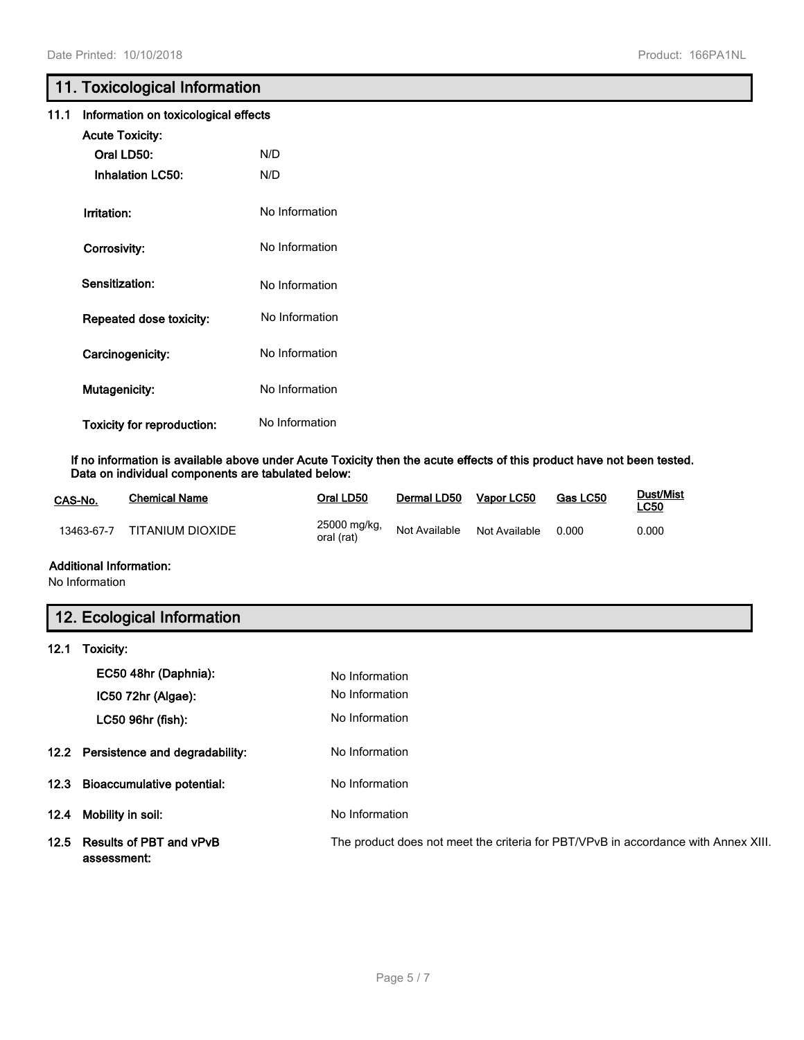# **11. Toxicological Information**

|  | 11.1 Information on toxicological effects |  |  |
|--|-------------------------------------------|--|--|
|--|-------------------------------------------|--|--|

| <b>Acute Toxicity:</b>            |                |
|-----------------------------------|----------------|
| Oral LD50:                        | N/D            |
| <b>Inhalation LC50:</b>           | N/D            |
|                                   |                |
| Irritation:                       | No Information |
| Corrosivity:                      | No Information |
|                                   |                |
| Sensitization:                    | No Information |
| Repeated dose toxicity:           | No Information |
|                                   |                |
| Carcinogenicity:                  | No Information |
| Mutagenicity:                     | No Information |
|                                   |                |
| <b>Toxicity for reproduction:</b> | No Information |

**If no information is available above under Acute Toxicity then the acute effects of this product have not been tested. Data on individual components are tabulated below:**

| CAS-No.    | Chemical Name    | Oral LD50                  | Dermal LD50   | Vapor LC50    | Gas LC50 | Dust/Mist<br><u>LC50</u> |
|------------|------------------|----------------------------|---------------|---------------|----------|--------------------------|
| 13463-67-7 | TITANIUM DIOXIDE | 25000 mg/kg,<br>oral (rat) | Not Available | Not Available | 0.000    | 0.000                    |

### **Additional Information:**

No Information

# **12. Ecological Information**

| 12.1 | Toxicity:                                   |                                                                                    |
|------|---------------------------------------------|------------------------------------------------------------------------------------|
|      | EC50 48hr (Daphnia):                        | No Information                                                                     |
|      | IC50 72hr (Algae):                          | No Information                                                                     |
|      | LC50 96hr (fish):                           | No Information                                                                     |
|      | 12.2 Persistence and degradability:         | No Information                                                                     |
|      | 12.3 Bioaccumulative potential:             | No Information                                                                     |
|      | 12.4 Mobility in soil:                      | No Information                                                                     |
|      | 12.5 Results of PBT and vPvB<br>assessment: | The product does not meet the criteria for PBT/VPvB in accordance with Annex XIII. |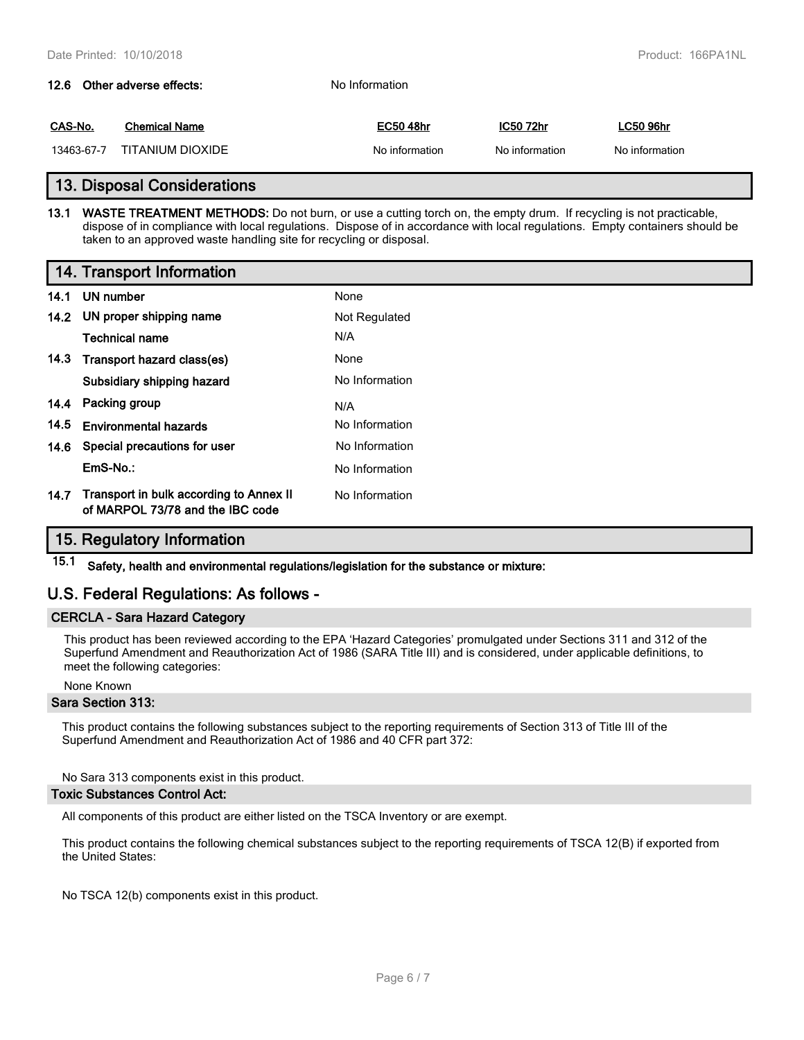# **12.6 Other adverse effects:** No Information **CAS-No. Chemical Name EC50 48hr IC50 72hr LC50 96hr** 13463-67-7 TITANIUM DIOXIDE No information No information No information No information

### **13. Disposal Considerations**

**13.1 WASTE TREATMENT METHODS:** Do not burn, or use a cutting torch on, the empty drum. If recycling is not practicable, dispose of in compliance with local regulations. Dispose of in accordance with local regulations. Empty containers should be taken to an approved waste handling site for recycling or disposal.

### **14. Transport Information**

|      | 14.1 UN number                                                              | None           |
|------|-----------------------------------------------------------------------------|----------------|
|      | 14.2 UN proper shipping name                                                | Not Regulated  |
|      | <b>Technical name</b>                                                       | N/A            |
|      | 14.3 Transport hazard class(es)                                             | None           |
|      | Subsidiary shipping hazard                                                  | No Information |
|      | 14.4 Packing group                                                          | N/A            |
| 14.5 | <b>Environmental hazards</b>                                                | No Information |
|      | 14.6 Special precautions for user                                           | No Information |
|      | EmS-No.:                                                                    | No Information |
| 14.7 | Transport in bulk according to Annex II<br>of MARPOL 73/78 and the IBC code | No Information |

# **15. Regulatory Information**

**15.1 Safety, health and environmental regulations/legislation for the substance or mixture:**

# **U.S. Federal Regulations: As follows -**

### **CERCLA - Sara Hazard Category**

This product has been reviewed according to the EPA 'Hazard Categories' promulgated under Sections 311 and 312 of the Superfund Amendment and Reauthorization Act of 1986 (SARA Title III) and is considered, under applicable definitions, to meet the following categories:

### None Known

### **Sara Section 313:**

This product contains the following substances subject to the reporting requirements of Section 313 of Title III of the Superfund Amendment and Reauthorization Act of 1986 and 40 CFR part 372:

No Sara 313 components exist in this product.

### **Toxic Substances Control Act:**

All components of this product are either listed on the TSCA Inventory or are exempt.

This product contains the following chemical substances subject to the reporting requirements of TSCA 12(B) if exported from the United States:

No TSCA 12(b) components exist in this product.